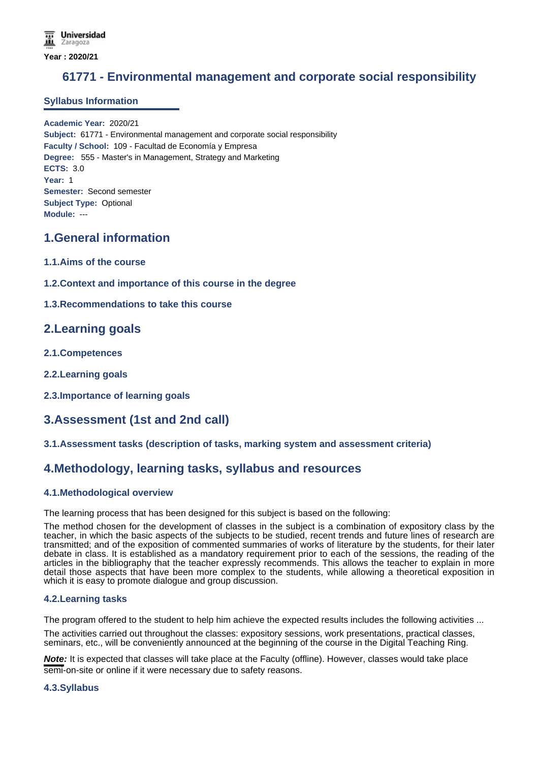# **61771 - Environmental management and corporate social responsibility**

### **Syllabus Information**

**Academic Year:** 2020/21 **Subject:** 61771 - Environmental management and corporate social responsibility **Faculty / School:** 109 - Facultad de Economía y Empresa **Degree:** 555 - Master's in Management, Strategy and Marketing **ECTS:** 3.0 **Year:** 1 **Semester:** Second semester **Subject Type:** Optional **Module:** ---

# **1.General information**

- **1.1.Aims of the course**
- **1.2.Context and importance of this course in the degree**

### **1.3.Recommendations to take this course**

### **2.Learning goals**

- **2.1.Competences**
- **2.2.Learning goals**
- **2.3.Importance of learning goals**

# **3.Assessment (1st and 2nd call)**

#### **3.1.Assessment tasks (description of tasks, marking system and assessment criteria)**

# **4.Methodology, learning tasks, syllabus and resources**

#### **4.1.Methodological overview**

The learning process that has been designed for this subject is based on the following:

The method chosen for the development of classes in the subject is a combination of expository class by the teacher, in which the basic aspects of the subjects to be studied, recent trends and future lines of research are transmitted; and of the exposition of commented summaries of works of literature by the students, for their later debate in class. It is established as a mandatory requirement prior to each of the sessions, the reading of the articles in the bibliography that the teacher expressly recommends. This allows the teacher to explain in more detail those aspects that have been more complex to the students, while allowing a theoretical exposition in which it is easy to promote dialogue and group discussion.

#### **4.2.Learning tasks**

The program offered to the student to help him achieve the expected results includes the following activities ...

The activities carried out throughout the classes: expository sessions, work presentations, practical classes, seminars, etc., will be conveniently announced at the beginning of the course in the Digital Teaching Ring.

**Note:** It is expected that classes will take place at the Faculty (offline). However, classes would take place semi-on-site or online if it were necessary due to safety reasons.

#### **4.3.Syllabus**